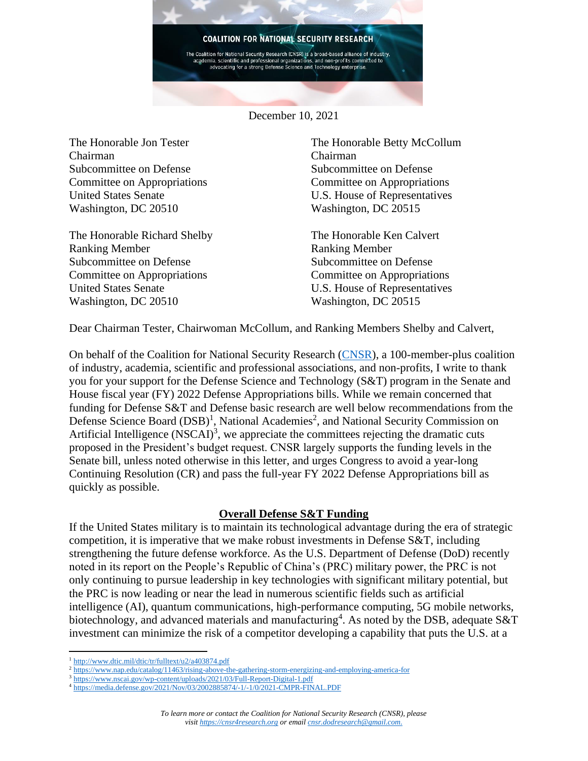

December 10, 2021

The Honorable Jon Tester Chairman Subcommittee on Defense Committee on Appropriations United States Senate Washington, DC 20510

The Honorable Richard Shelby Ranking Member Subcommittee on Defense Committee on Appropriations United States Senate Washington, DC 20510

The Honorable Betty McCollum Chairman Subcommittee on Defense Committee on Appropriations U.S. House of Representatives Washington, DC 20515

The Honorable Ken Calvert Ranking Member Subcommittee on Defense Committee on Appropriations U.S. House of Representatives Washington, DC 20515

Dear Chairman Tester, Chairwoman McCollum, and Ranking Members Shelby and Calvert,

On behalf of the Coalition for National Security Research [\(CNSR\)](https://cnsr4research.org/), a 100-member-plus coalition of industry, academia, scientific and professional associations, and non-profits, I write to thank you for your support for the Defense Science and Technology (S&T) program in the Senate and House fiscal year (FY) 2022 Defense Appropriations bills. While we remain concerned that funding for Defense S&T and Defense basic research are well below recommendations from the Defense Science Board (DSB)<sup>1</sup>, National Academies<sup>2</sup>, and National Security Commission on Artificial Intelligence  $(NSCAI)^3$ , we appreciate the committees rejecting the dramatic cuts proposed in the President's budget request. CNSR largely supports the funding levels in the Senate bill, unless noted otherwise in this letter, and urges Congress to avoid a year-long Continuing Resolution (CR) and pass the full-year FY 2022 Defense Appropriations bill as quickly as possible.

## **Overall Defense S&T Funding**

If the United States military is to maintain its technological advantage during the era of strategic competition, it is imperative that we make robust investments in Defense S&T, including strengthening the future defense workforce. As the U.S. Department of Defense (DoD) recently noted in its report on the People's Republic of China's (PRC) military power, the PRC is not only continuing to pursue leadership in key technologies with significant military potential, but the PRC is now leading or near the lead in numerous scientific fields such as artificial intelligence (AI), quantum communications, high-performance computing, 5G mobile networks, biotechnology, and advanced materials and manufacturing<sup>4</sup>. As noted by the DSB, adequate S&T investment can minimize the risk of a competitor developing a capability that puts the U.S. at a

<sup>1</sup> <http://www.dtic.mil/dtic/tr/fulltext/u2/a403874.pdf>

<sup>2</sup> <https://www.nap.edu/catalog/11463/rising-above-the-gathering-storm-energizing-and-employing-america-for>

<sup>3</sup> <https://www.nscai.gov/wp-content/uploads/2021/03/Full-Report-Digital-1.pdf>

<sup>4</sup> <https://media.defense.gov/2021/Nov/03/2002885874/-1/-1/0/2021-CMPR-FINAL.PDF>

*To learn more or contact the Coalition for National Security Research (CNSR), please visi[t https://cnsr4research.org](https://cnsr4research.org/) or emai[l cnsr.dodresearch@gmail.com.](mailto:cnsr.dodresearch@gmail.com)*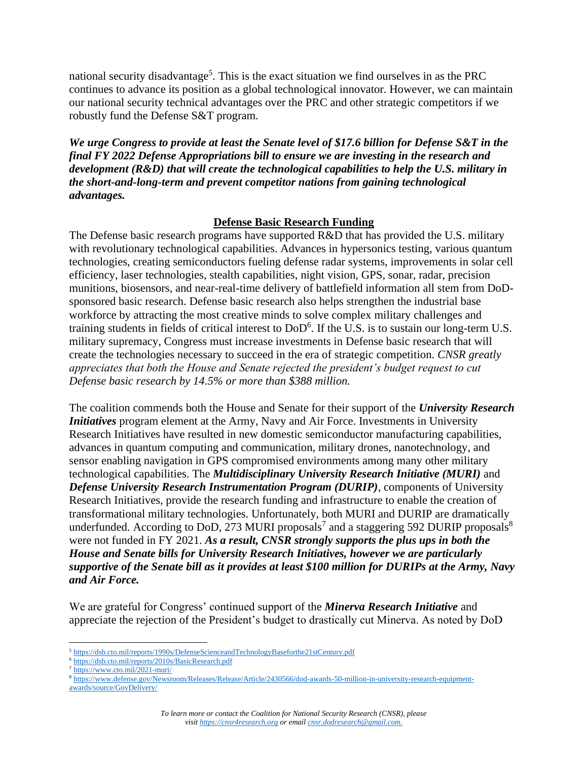national security disadvantage<sup>5</sup>. This is the exact situation we find ourselves in as the PRC continues to advance its position as a global technological innovator. However, we can maintain our national security technical advantages over the PRC and other strategic competitors if we robustly fund the Defense S&T program.

*We urge Congress to provide at least the Senate level of \$17.6 billion for Defense S&T in the final FY 2022 Defense Appropriations bill to ensure we are investing in the research and development (R&D) that will create the technological capabilities to help the U.S. military in the short-and-long-term and prevent competitor nations from gaining technological advantages.* 

# **Defense Basic Research Funding**

The Defense basic research programs have supported R&D that has provided the U.S. military with revolutionary technological capabilities. Advances in hypersonics testing, various quantum technologies, creating semiconductors fueling defense radar systems, improvements in solar cell efficiency, laser technologies, stealth capabilities, night vision, GPS, sonar, radar, precision munitions, biosensors, and near-real-time delivery of battlefield information all stem from DoDsponsored basic research. Defense basic research also helps strengthen the industrial base workforce by attracting the most creative minds to solve complex military challenges and training students in fields of critical interest to DoD<sup>6</sup>. If the U.S. is to sustain our long-term U.S. military supremacy, Congress must increase investments in Defense basic research that will create the technologies necessary to succeed in the era of strategic competition. *CNSR greatly appreciates that both the House and Senate rejected the president's budget request to cut Defense basic research by 14.5% or more than \$388 million.*

The coalition commends both the House and Senate for their support of the *University Research Initiatives* program element at the Army, Navy and Air Force. Investments in University Research Initiatives have resulted in new domestic semiconductor manufacturing capabilities, advances in quantum computing and communication, military drones, nanotechnology, and sensor enabling navigation in GPS compromised environments among many other military technological capabilities. The *Multidisciplinary University Research Initiative (MURI)* and *Defense University Research Instrumentation Program (DURIP)*, components of University Research Initiatives, provide the research funding and infrastructure to enable the creation of transformational military technologies. Unfortunately, both MURI and DURIP are dramatically underfunded. According to DoD, 273 MURI proposals<sup>7</sup> and a staggering 592 DURIP proposals<sup>8</sup> were not funded in FY 2021. *As a result, CNSR strongly supports the plus ups in both the House and Senate bills for University Research Initiatives, however we are particularly supportive of the Senate bill as it provides at least \$100 million for DURIPs at the Army, Navy and Air Force.*

We are grateful for Congress' continued support of the *Minerva Research Initiative* and appreciate the rejection of the President's budget to drastically cut Minerva. As noted by DoD

<sup>5</sup> <https://dsb.cto.mil/reports/1990s/DefenseScienceandTechnologyBaseforthe21stCentury.pdf>

<sup>6</sup> <https://dsb.cto.mil/reports/2010s/BasicResearch.pdf>

<sup>7</sup> <https://www.cto.mil/2021-muri/>

<sup>8</sup> [https://www.defense.gov/Newsroom/Releases/Release/Article/2430566/dod-awards-50-million-in-university-research-equipment](https://www.defense.gov/Newsroom/Releases/Release/Article/2430566/dod-awards-50-million-in-university-research-equipment-awards/source/GovDelivery/)[awards/source/GovDelivery/](https://www.defense.gov/Newsroom/Releases/Release/Article/2430566/dod-awards-50-million-in-university-research-equipment-awards/source/GovDelivery/)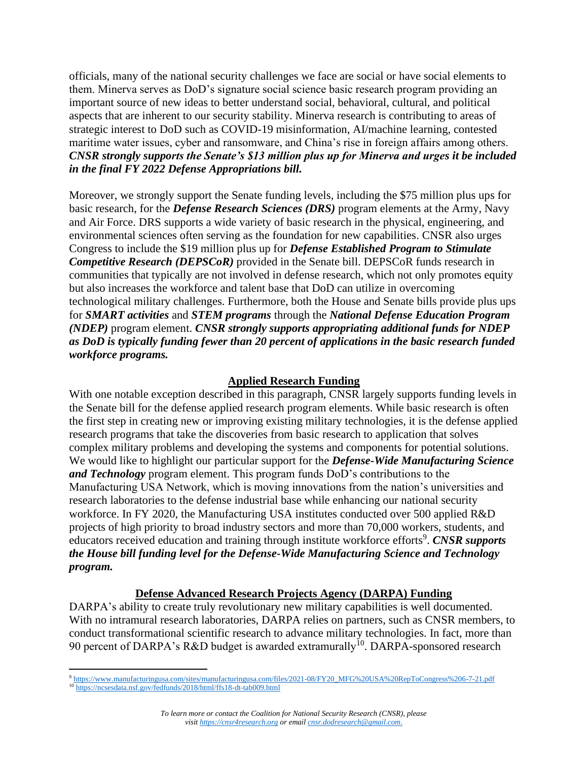officials, many of the national security challenges we face are social or have social elements to them. Minerva serves as DoD's signature social science basic research program providing an important source of new ideas to better understand social, behavioral, cultural, and political aspects that are inherent to our security stability. Minerva research is contributing to areas of strategic interest to DoD such as COVID-19 misinformation, AI/machine learning, contested maritime water issues, cyber and ransomware, and China's rise in foreign affairs among others. *CNSR strongly supports the Senate's \$13 million plus up for Minerva and urges it be included in the final FY 2022 Defense Appropriations bill.*

Moreover, we strongly support the Senate funding levels, including the \$75 million plus ups for basic research, for the *Defense Research Sciences (DRS)* program elements at the Army, Navy and Air Force. DRS supports a wide variety of basic research in the physical, engineering, and environmental sciences often serving as the foundation for new capabilities. CNSR also urges Congress to include the \$19 million plus up for *Defense Established Program to Stimulate Competitive Research (DEPSCoR)* provided in the Senate bill. DEPSCoR funds research in communities that typically are not involved in defense research, which not only promotes equity but also increases the workforce and talent base that DoD can utilize in overcoming technological military challenges. Furthermore, both the House and Senate bills provide plus ups for *SMART activities* and *STEM programs* through the *National Defense Education Program (NDEP)* program element. *CNSR strongly supports appropriating additional funds for NDEP as DoD is typically funding fewer than 20 percent of applications in the basic research funded workforce programs.*

## **Applied Research Funding**

With one notable exception described in this paragraph, CNSR largely supports funding levels in the Senate bill for the defense applied research program elements. While basic research is often the first step in creating new or improving existing military technologies, it is the defense applied research programs that take the discoveries from basic research to application that solves complex military problems and developing the systems and components for potential solutions. We would like to highlight our particular support for the *Defense-Wide Manufacturing Science and Technology* program element. This program funds DoD's contributions to the Manufacturing USA Network, which is moving innovations from the nation's universities and research laboratories to the defense industrial base while enhancing our national security workforce. In FY 2020, the Manufacturing USA institutes conducted over 500 applied R&D projects of high priority to broad industry sectors and more than 70,000 workers, students, and educators received education and training through institute workforce efforts<sup>9</sup>. CNSR supports *the House bill funding level for the Defense-Wide Manufacturing Science and Technology program.* 

#### **Defense Advanced Research Projects Agency (DARPA) Funding**

DARPA's ability to create truly revolutionary new military capabilities is well documented. With no intramural research laboratories, DARPA relies on partners, such as CNSR members, to conduct transformational scientific research to advance military technologies. In fact, more than 90 percent of DARPA's R&D budget is awarded extramurally<sup>10</sup>. DARPA-sponsored research

<sup>9</sup> [https://www.manufacturingusa.com/sites/manufacturingusa.com/files/2021-08/FY20\\_MFG%20USA%20RepToCongress%206-7-21.pdf](https://www.manufacturingusa.com/sites/manufacturingusa.com/files/2021-08/FY20_MFG%20USA%20RepToCongress%206-7-21.pdf) <sup>10</sup> <https://ncsesdata.nsf.gov/fedfunds/2018/html/ffs18-dt-tab009.html>